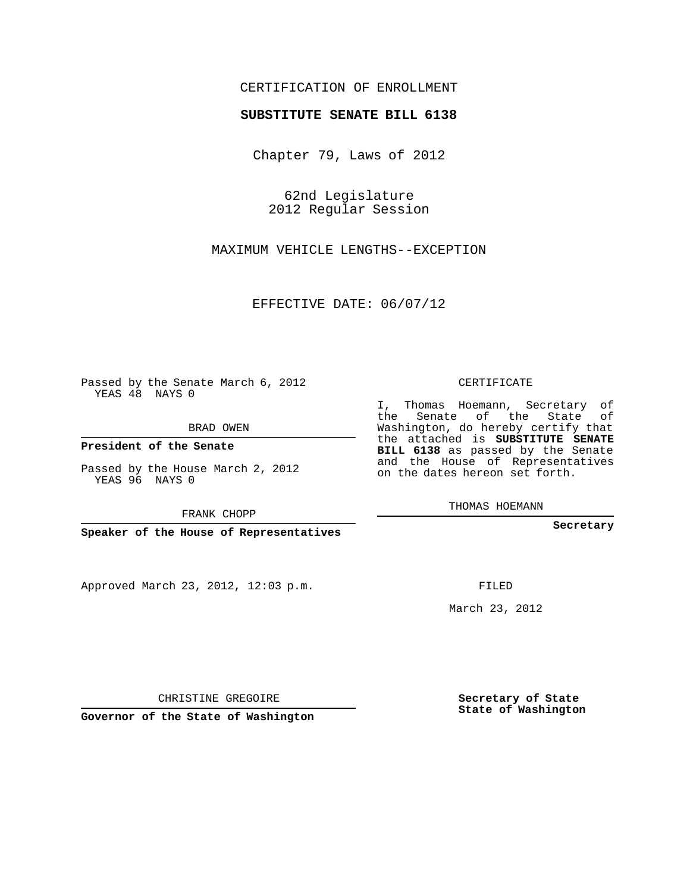## CERTIFICATION OF ENROLLMENT

## **SUBSTITUTE SENATE BILL 6138**

Chapter 79, Laws of 2012

62nd Legislature 2012 Regular Session

MAXIMUM VEHICLE LENGTHS--EXCEPTION

EFFECTIVE DATE: 06/07/12

Passed by the Senate March 6, 2012 YEAS 48 NAYS 0

BRAD OWEN

**President of the Senate**

Passed by the House March 2, 2012 YEAS 96 NAYS 0

FRANK CHOPP

**Speaker of the House of Representatives**

Approved March 23, 2012, 12:03 p.m.

CERTIFICATE

I, Thomas Hoemann, Secretary of the Senate of the State of Washington, do hereby certify that the attached is **SUBSTITUTE SENATE BILL 6138** as passed by the Senate and the House of Representatives on the dates hereon set forth.

THOMAS HOEMANN

**Secretary**

FILED

March 23, 2012

**Secretary of State State of Washington**

CHRISTINE GREGOIRE

**Governor of the State of Washington**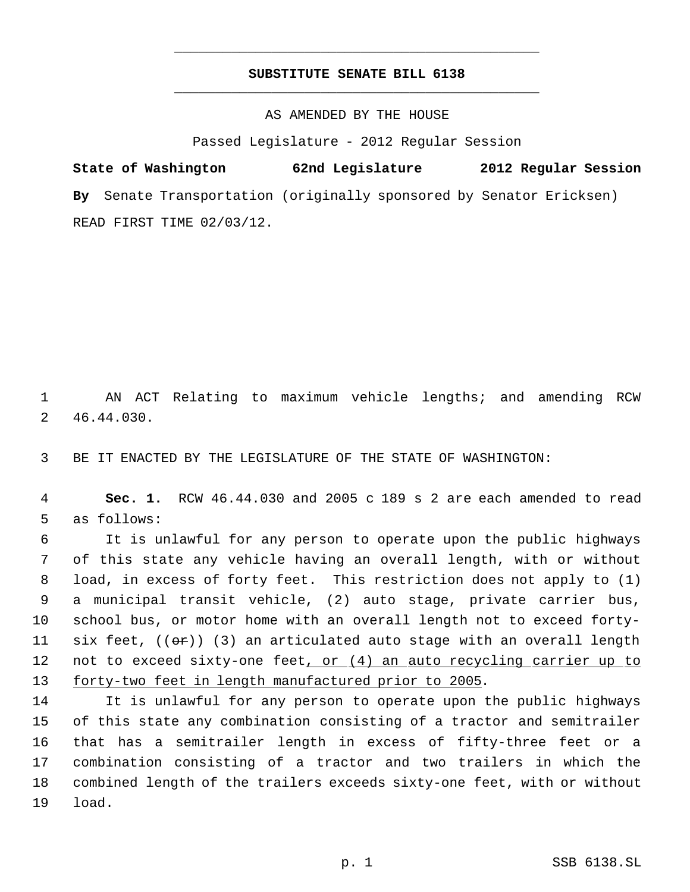## **SUBSTITUTE SENATE BILL 6138** \_\_\_\_\_\_\_\_\_\_\_\_\_\_\_\_\_\_\_\_\_\_\_\_\_\_\_\_\_\_\_\_\_\_\_\_\_\_\_\_\_\_\_\_\_

\_\_\_\_\_\_\_\_\_\_\_\_\_\_\_\_\_\_\_\_\_\_\_\_\_\_\_\_\_\_\_\_\_\_\_\_\_\_\_\_\_\_\_\_\_

AS AMENDED BY THE HOUSE

Passed Legislature - 2012 Regular Session

**State of Washington 62nd Legislature 2012 Regular Session By** Senate Transportation (originally sponsored by Senator Ericksen) READ FIRST TIME 02/03/12.

 AN ACT Relating to maximum vehicle lengths; and amending RCW 46.44.030.

BE IT ENACTED BY THE LEGISLATURE OF THE STATE OF WASHINGTON:

 **Sec. 1.** RCW 46.44.030 and 2005 c 189 s 2 are each amended to read as follows:

 It is unlawful for any person to operate upon the public highways of this state any vehicle having an overall length, with or without load, in excess of forty feet. This restriction does not apply to (1) a municipal transit vehicle, (2) auto stage, private carrier bus, school bus, or motor home with an overall length not to exceed forty-11 six feet,  $((\theta \cdot \hat{r}))$  (3) an articulated auto stage with an overall length 12 not to exceed sixty-one feet, or (4) an auto recycling carrier up to forty-two feet in length manufactured prior to 2005.

 It is unlawful for any person to operate upon the public highways of this state any combination consisting of a tractor and semitrailer that has a semitrailer length in excess of fifty-three feet or a combination consisting of a tractor and two trailers in which the combined length of the trailers exceeds sixty-one feet, with or without load.